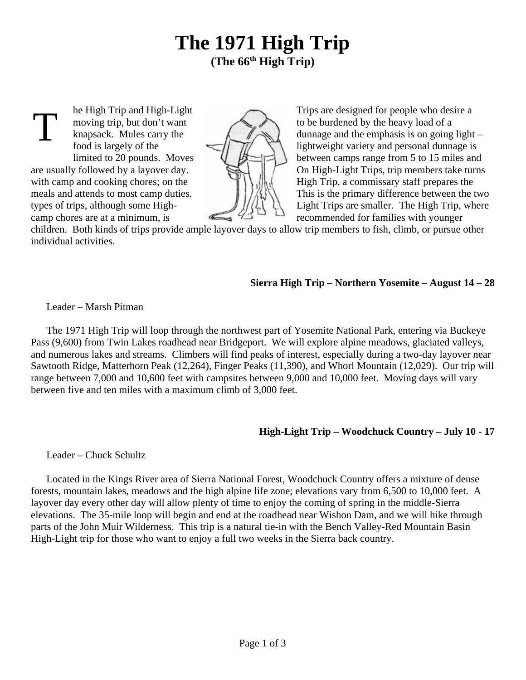# **The 1971 High Trip (The 66th High Trip)**

T



he High Trip and High-Light Trips are designed for people who desire a moving trip, but don't want to be burdened by the heavy load of a knapsack. Mules carry the  $\left(\begin{array}{c} \nearrow \\ \searrow \end{array}\right)$  dunnage and the emphasis is on going light – food is largely of the  $\left\langle \right\rangle$   $\left\langle \right\rangle$  lightweight variety and personal dunnage is limited to 20 pounds. Moves<br>are usually followed by a layover day.<br>On High-Light Trips, trip members take turns On High-Light Trips, trip members take turns. with camp and cooking chores; on the  $H \cup H$  High Trip, a commissary staff prepares the meals and attends to most camp duties.  $\|\{\}\|$ types of trips, although some High-  $\frac{1}{2}$   $\frac{1}{2}$  Light Trips are smaller. The High Trip, where camp chores are at a minimum, is recommended for families with younger

children. Both kinds of trips provide ample layover days to allow trip members to fish, climb, or pursue other individual activities.

## **Sierra High Trip – Northern Yosemite – August 14 – 28**

Leader – Marsh Pitman

The 1971 High Trip will loop through the northwest part of Yosemite National Park, entering via Buckeye Pass (9,600) from Twin Lakes roadhead near Bridgeport. We will explore alpine meadows, glaciated valleys, and numerous lakes and streams. Climbers will find peaks of interest, especially during a two-day layover near Sawtooth Ridge, Matterhorn Peak (12,264), Finger Peaks (11,390), and Whorl Mountain (12,029). Our trip will range between 7,000 and 10,600 feet with campsites between 9,000 and 10,000 feet. Moving days will vary between five and ten miles with a maximum climb of 3,000 feet.

# **High-Light Trip – Woodchuck Country – July 10 - 17**

Leader – Chuck Schultz

Located in the Kings River area of Sierra National Forest, Woodchuck Country offers a mixture of dense forests, mountain lakes, meadows and the high alpine life zone; elevations vary from 6,500 to 10,000 feet. A layover day every other day will allow plenty of time to enjoy the coming of spring in the middle-Sierra elevations. The 35-mile loop will begin and end at the roadhead near Wishon Dam, and we will hike through parts of the John Muir Wilderness. This trip is a natural tie-in with the Bench Valley-Red Mountain Basin High-Light trip for those who want to enjoy a full two weeks in the Sierra back country.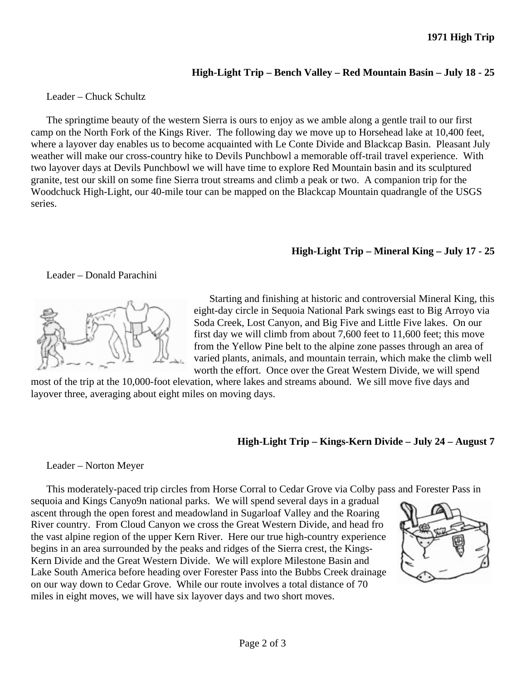## **High-Light Trip – Bench Valley – Red Mountain Basin – July 18 - 25**

#### Leader – Chuck Schultz

The springtime beauty of the western Sierra is ours to enjoy as we amble along a gentle trail to our first camp on the North Fork of the Kings River. The following day we move up to Horsehead lake at 10,400 feet, where a layover day enables us to become acquainted with Le Conte Divide and Blackcap Basin. Pleasant July weather will make our cross-country hike to Devils Punchbowl a memorable off-trail travel experience. With two layover days at Devils Punchbowl we will have time to explore Red Mountain basin and its sculptured granite, test our skill on some fine Sierra trout streams and climb a peak or two. A companion trip for the Woodchuck High-Light, our 40-mile tour can be mapped on the Blackcap Mountain quadrangle of the USGS series.

## **High-Light Trip – Mineral King – July 17 - 25**

#### Leader – Donald Parachini



Starting and finishing at historic and controversial Mineral King, this eight-day circle in Sequoia National Park swings east to Big Arroyo via Soda Creek, Lost Canyon, and Big Five and Little Five lakes. On our first day we will climb from about 7,600 feet to 11,600 feet; this move from the Yellow Pine belt to the alpine zone passes through an area of varied plants, animals, and mountain terrain, which make the climb well worth the effort. Once over the Great Western Divide, we will spend

most of the trip at the 10,000-foot elevation, where lakes and streams abound. We sill move five days and layover three, averaging about eight miles on moving days.

## **High-Light Trip – Kings-Kern Divide – July 24 – August 7**

Leader – Norton Meyer

This moderately-paced trip circles from Horse Corral to Cedar Grove via Colby pass and Forester Pass in

sequoia and Kings Canyo9n national parks. We will spend several days in a gradual ascent through the open forest and meadowland in Sugarloaf Valley and the Roaring River country. From Cloud Canyon we cross the Great Western Divide, and head fro the vast alpine region of the upper Kern River. Here our true high-country experience begins in an area surrounded by the peaks and ridges of the Sierra crest, the Kings-Kern Divide and the Great Western Divide. We will explore Milestone Basin and Lake South America before heading over Forester Pass into the Bubbs Creek drainage on our way down to Cedar Grove. While our route involves a total distance of 70 miles in eight moves, we will have six layover days and two short moves.